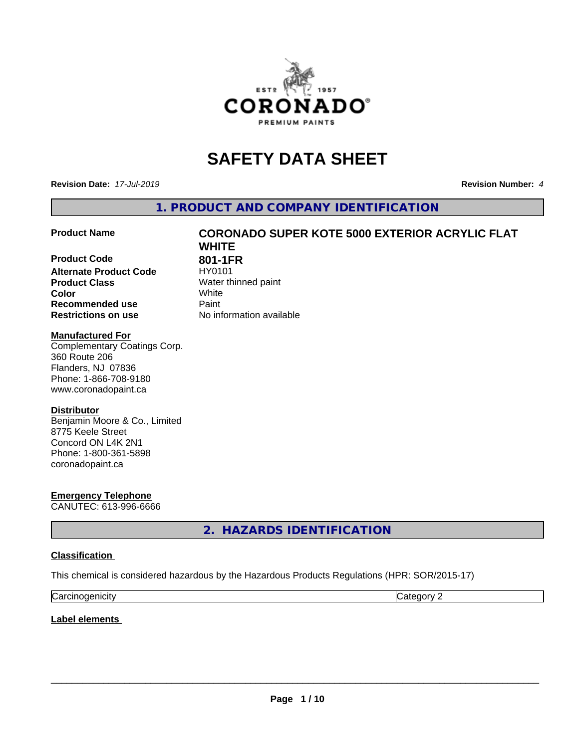

# **SAFETY DATA SHEET**

**Revision Date:** *17-Jul-2019* **Revision Number:** *4*

**1. PRODUCT AND COMPANY IDENTIFICATION**

**Product Code 801-1FR**<br>**Alternate Product Code HY0101 Alternate Product Code Product Class** Water thinned paint<br> **Color** White **Color** White **Recommended use Caint Restrictions on use** No information available

# **Product Name CORONADO SUPER KOTE 5000 EXTERIOR ACRYLIC FLAT WHITE**

#### **Manufactured For**

Complementary Coatings Corp. 360 Route 206 Flanders, NJ 07836 Phone: 1-866-708-9180 www.coronadopaint.ca

#### **Distributor**

Benjamin Moore & Co., Limited 8775 Keele Street Concord ON L4K 2N1 Phone: 1-800-361-5898 coronadopaint.ca

**Emergency Telephone** CANUTEC: 613-996-6666

**2. HAZARDS IDENTIFICATION**

#### **Classification**

This chemical is considered hazardous by the Hazardous Products Regulations (HPR: SOR/2015-17)

| ∽<br>$\mathbf{111}$<br> | . . |
|-------------------------|-----|

**Label elements**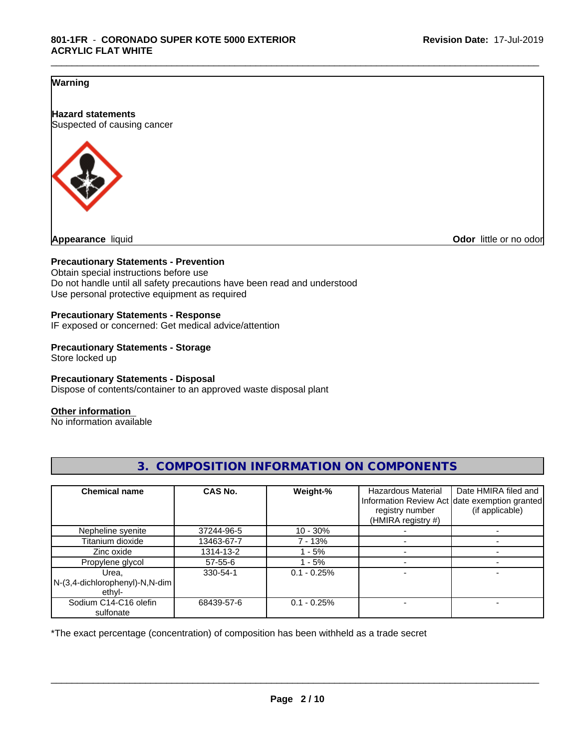#### **Warning**

**Hazard statements** Suspected of causing cancer



**Appearance** liquid **Odor in the original of the original of the original of the original of the original of the original of the original of the original of the original of the original of the original of the original of t** 

#### **Precautionary Statements - Prevention**

Obtain special instructions before use Do not handle until all safety precautions have been read and understood Use personal protective equipment as required

#### **Precautionary Statements - Response**

IF exposed or concerned: Get medical advice/attention

# **Precautionary Statements - Storage**

Store locked up

#### **Precautionary Statements - Disposal**

Dispose of contents/container to an approved waste disposal plant

#### **Other information**

No information available

| <b>Chemical name</b>                                 | <b>CAS No.</b> | Weight-%      | <b>Hazardous Material</b> | Date HMIRA filed and                                             |
|------------------------------------------------------|----------------|---------------|---------------------------|------------------------------------------------------------------|
|                                                      |                |               | registry number           | Information Review Act date exemption granted<br>(if applicable) |
|                                                      |                |               | (HMIRA registry #)        |                                                                  |
| Nepheline syenite                                    | 37244-96-5     | $10 - 30%$    |                           |                                                                  |
| Titanium dioxide                                     | 13463-67-7     | $7 - 13%$     |                           |                                                                  |
| Zinc oxide                                           | 1314-13-2      | - 5%          |                           |                                                                  |
| Propylene glycol                                     | $57 - 55 - 6$  | - 5%          |                           |                                                                  |
| Urea.<br>$N-(3,4$ -dichlorophenyl)-N,N-dim<br>ethvl- | 330-54-1       | $0.1 - 0.25%$ |                           |                                                                  |
| Sodium C14-C16 olefin<br>sulfonate                   | 68439-57-6     | $0.1 - 0.25%$ |                           |                                                                  |

## **3. COMPOSITION INFORMATION ON COMPONENTS**

\_\_\_\_\_\_\_\_\_\_\_\_\_\_\_\_\_\_\_\_\_\_\_\_\_\_\_\_\_\_\_\_\_\_\_\_\_\_\_\_\_\_\_\_\_\_\_\_\_\_\_\_\_\_\_\_\_\_\_\_\_\_\_\_\_\_\_\_\_\_\_\_\_\_\_\_\_\_\_\_\_\_\_\_\_\_\_\_\_\_\_\_\_

\*The exact percentage (concentration) of composition has been withheld as a trade secret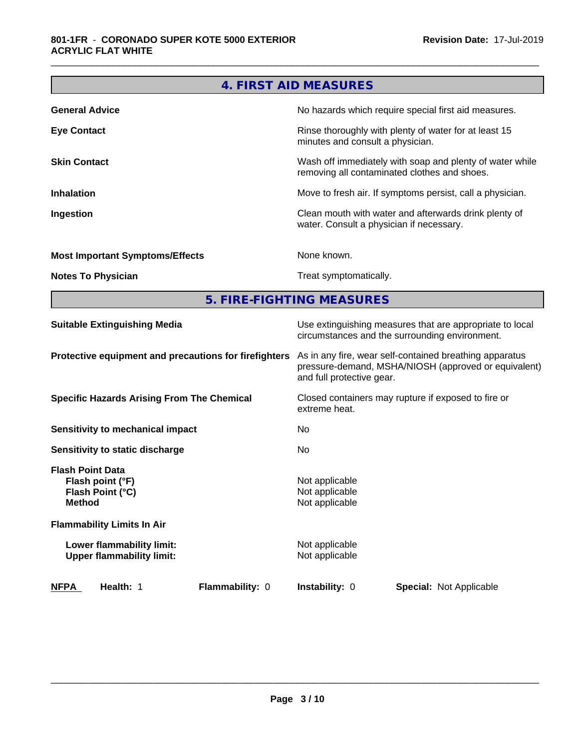|                                                                                  | 4. FIRST AID MEASURES                              |                                                                                                                 |
|----------------------------------------------------------------------------------|----------------------------------------------------|-----------------------------------------------------------------------------------------------------------------|
| <b>General Advice</b>                                                            |                                                    | No hazards which require special first aid measures.                                                            |
| <b>Eye Contact</b>                                                               | minutes and consult a physician.                   | Rinse thoroughly with plenty of water for at least 15                                                           |
| <b>Skin Contact</b>                                                              |                                                    | Wash off immediately with soap and plenty of water while<br>removing all contaminated clothes and shoes.        |
| <b>Inhalation</b>                                                                |                                                    | Move to fresh air. If symptoms persist, call a physician.                                                       |
| Ingestion                                                                        |                                                    | Clean mouth with water and afterwards drink plenty of<br>water. Consult a physician if necessary.               |
| <b>Most Important Symptoms/Effects</b>                                           | None known.                                        |                                                                                                                 |
| <b>Notes To Physician</b>                                                        | Treat symptomatically.                             |                                                                                                                 |
| 5. FIRE-FIGHTING MEASURES                                                        |                                                    |                                                                                                                 |
| <b>Suitable Extinguishing Media</b>                                              |                                                    | Use extinguishing measures that are appropriate to local<br>circumstances and the surrounding environment.      |
| Protective equipment and precautions for firefighters                            | and full protective gear.                          | As in any fire, wear self-contained breathing apparatus<br>pressure-demand, MSHA/NIOSH (approved or equivalent) |
| <b>Specific Hazards Arising From The Chemical</b>                                | extreme heat.                                      | Closed containers may rupture if exposed to fire or                                                             |
| <b>Sensitivity to mechanical impact</b>                                          | No                                                 |                                                                                                                 |
| Sensitivity to static discharge                                                  | No                                                 |                                                                                                                 |
| <b>Flash Point Data</b><br>Flash point (°F)<br>Flash Point (°C)<br><b>Method</b> | Not applicable<br>Not applicable<br>Not applicable |                                                                                                                 |
| <b>Flammability Limits In Air</b>                                                |                                                    |                                                                                                                 |
| Lower flammability limit:<br><b>Upper flammability limit:</b>                    | Not applicable<br>Not applicable                   |                                                                                                                 |
| Flammability: 0<br><b>NFPA</b><br>Health: 1                                      | Instability: 0                                     | Special: Not Applicable                                                                                         |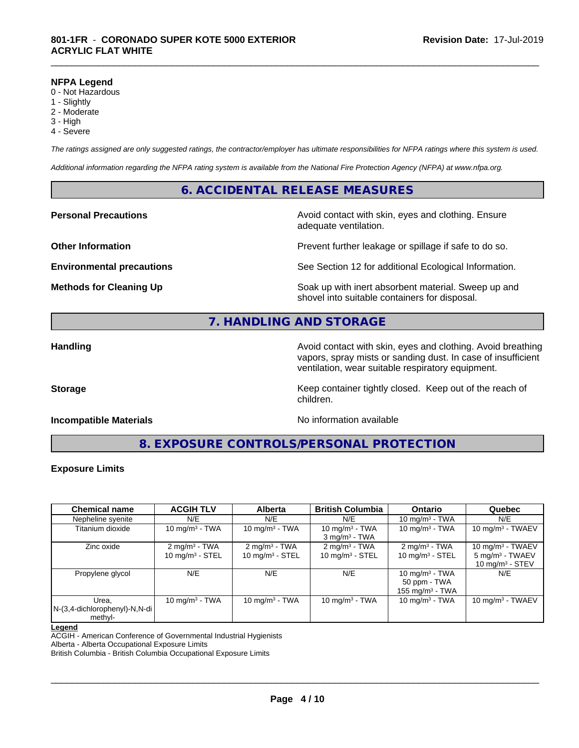#### **NFPA Legend**

- 0 Not Hazardous
- 1 Slightly
- 2 Moderate
- 3 High
- 4 Severe

*The ratings assigned are only suggested ratings, the contractor/employer has ultimate responsibilities for NFPA ratings where this system is used.*

*Additional information regarding the NFPA rating system is available from the National Fire Protection Agency (NFPA) at www.nfpa.org.*

#### **6. ACCIDENTAL RELEASE MEASURES**

**Personal Precautions Avoid contact with skin, eyes and clothing. Ensure** Avoid contact with skin, eyes and clothing. Ensure adequate ventilation.

**Other Information Department Information Department Intervent further leakage or spillage if safe to do so.** 

**Environmental precautions** See Section 12 for additional Ecological Information.

**Methods for Cleaning Up Example 20 Soak** up with inert absorbent material. Sweep up and shovel into suitable containers for disposal.

### **7. HANDLING AND STORAGE**

**Handling Handling Avoid contact with skin, eyes and clothing. Avoid breathing H** vapors, spray mists or sanding dust. In case of insufficient ventilation, wear suitable respiratory equipment.

**Storage** Storage **Keep container tightly closed.** Keep out of the reach of

#### **Incompatible Materials Incompatible Materials No information available**

**8. EXPOSURE CONTROLS/PERSONAL PROTECTION**

children.

#### **Exposure Limits**

| <b>Chemical name</b>                                 | <b>ACGIH TLV</b>                               | <b>Alberta</b>                                         | <b>British Columbia</b>                                | <b>Ontario</b>                                                   | Quebec                                                                  |
|------------------------------------------------------|------------------------------------------------|--------------------------------------------------------|--------------------------------------------------------|------------------------------------------------------------------|-------------------------------------------------------------------------|
| Nepheline syenite                                    | N/E                                            | N/E                                                    | N/E                                                    | 10 mg/m $3$ - TWA                                                | N/E                                                                     |
| Titanium dioxide                                     | 10 mg/m $3$ - TWA                              | 10 mg/m $3$ - TWA                                      | 10 mg/m $3$ - TWA<br>$3 \text{ mg/m}^3$ - TWA          | 10 mg/m $3$ - TWA                                                | 10 mg/m $3$ - TWAEV                                                     |
| Zinc oxide                                           | $2 \text{ mg/m}^3$ - TWA<br>10 $mq/m^3$ - STEL | $2 \text{ mg/m}^3$ - TWA<br>$10 \text{ mg/m}^3$ - STEL | $2 \text{ mg/m}^3$ - TWA<br>$10 \text{ mg/m}^3$ - STEL | $2$ mg/m <sup>3</sup> - TWA<br>10 mg/m $3 -$ STEL                | 10 mg/m $3$ - TWAEV<br>$5 \text{ mg/m}^3$ - TWAEV<br>10 mg/m $3 -$ STEV |
| Propylene glycol                                     | N/E                                            | N/E                                                    | N/E                                                    | 10 mg/m $3$ - TWA<br>50 ppm - TWA<br>155 mg/m <sup>3</sup> - TWA | N/E                                                                     |
| Urea.<br>$N-(3,4$ -dichlorophenyl)-N,N-di<br>methyl- | $10 \text{ mg/m}^3$ - TWA                      | 10 $mq/m3$ - TWA                                       | 10 $mq/m3$ - TWA                                       | 10 mg/m $3$ - TWA                                                | $10 \text{ mg/m}$ <sup>3</sup> - TWAEV                                  |

#### **Legend**

ACGIH - American Conference of Governmental Industrial Hygienists

Alberta - Alberta Occupational Exposure Limits

British Columbia - British Columbia Occupational Exposure Limits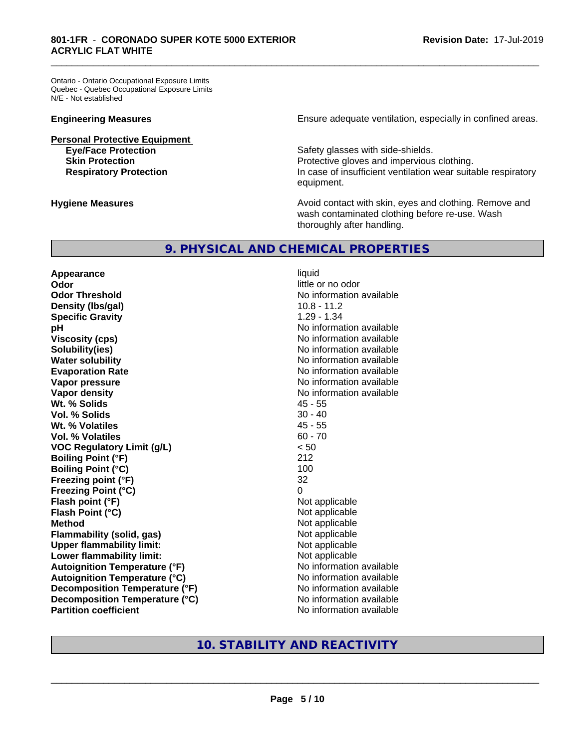Ontario - Ontario Occupational Exposure Limits Quebec - Quebec Occupational Exposure Limits N/E - Not established

**Personal Protective Equipment**<br> **Eye/Face Protection** 

**Engineering Measures Ensure** Ensure adequate ventilation, especially in confined areas.

Safety glasses with side-shields. **Skin Protection Protection Protective gloves and impervious clothing. Respiratory Protection In case of insufficient ventilation wear suitable respiratory** equipment.

**Hygiene Measures Avoid contact with skin, eyes and clothing. Remove and Avoid contact with skin, eyes and clothing. Remove and Avoid contact with skin, eyes and clothing. Remove and** wash contaminated clothing before re-use. Wash thoroughly after handling.

#### **9. PHYSICAL AND CHEMICAL PROPERTIES**

**Appearance** liquid **Odor** little or no odor **Odor Threshold** No information available **Density (lbs/gal)** 10.8 - 11.2 **Specific Gravity** 1.29 - 1.34 **pH** No information available **Viscosity (cps)** No information available in the Most of the Most of the Most of the Most of the Most of the Most of the Most of the Most of the Most of the Most of the Most of the Most of the Most of the Most of the Most **Solubility(ies)** No information available in the solution of the solution of the solution available in the solution of the solution of the solution of the solution of the solution of the solution of the solution of the so **Water solubility Water solubility Water solubility Water solubility Water solubility Water solution Evaporation Rate No information available No information available Vapor pressure** No information available **Vapor density Vapor density No information available Wt. % Solids** 45 - 55 **Vol. % Solids** 30 - 40 **Wt. % Volatiles** 45 - 55 **Vol. % Volatiles** 60 - 70 **VOC Regulatory Limit (g/L)** < 50 **Boiling Point (°F)** 212 **Boiling Point (°C)** 100 **Freezing point (°F)** 32 **Freezing Point (°C)** 0 **Flash point (°F)** Not applicable **Flash Point (°C)** Not applicable **Method** Not applicable Not applicable **Flammability (solid, gas)**<br> **Upper flammability limit:**<br>
Upper flammability limit:<br>  $\begin{array}{ccc}\n\bullet & \bullet & \bullet \\
\bullet & \bullet & \bullet\n\end{array}$ **Upper flammability limit: Lower flammability limit:** Not applicable **Autoignition Temperature (°F)**<br> **Autoignition Temperature (°C)** No information available **Autoignition Temperature (°C) Decomposition Temperature (°F)** No information available **Decomposition Temperature (°C)** No information available **Partition coefficient Compared 2012 No information available** 

\_\_\_\_\_\_\_\_\_\_\_\_\_\_\_\_\_\_\_\_\_\_\_\_\_\_\_\_\_\_\_\_\_\_\_\_\_\_\_\_\_\_\_\_\_\_\_\_\_\_\_\_\_\_\_\_\_\_\_\_\_\_\_\_\_\_\_\_\_\_\_\_\_\_\_\_\_\_\_\_\_\_\_\_\_\_\_\_\_\_\_\_\_

### **10. STABILITY AND REACTIVITY**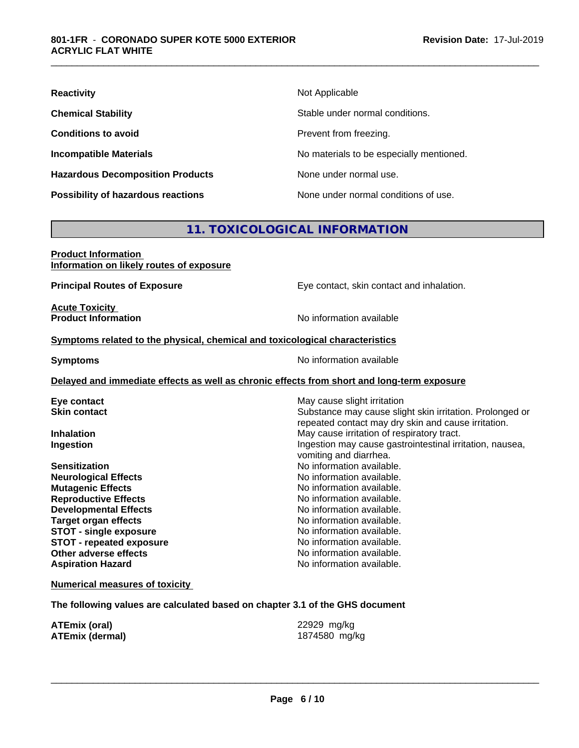| <b>Reactivity</b>                       | Not Applicable                           |
|-----------------------------------------|------------------------------------------|
| <b>Chemical Stability</b>               | Stable under normal conditions.          |
| <b>Conditions to avoid</b>              | Prevent from freezing.                   |
| <b>Incompatible Materials</b>           | No materials to be especially mentioned. |
| <b>Hazardous Decomposition Products</b> | None under normal use.                   |
| Possibility of hazardous reactions      | None under normal conditions of use.     |

### **11. TOXICOLOGICAL INFORMATION**

#### **Product Information Information on likely routes of exposure**

**Principal Routes of Exposure** Eye contact, skin contact and inhalation.

**Acute Toxicity<br>Product Information** 

**No information available** 

#### **<u>Symptoms related to the physical, chemical and toxicological characteristics</u>**

**Symptoms** No information available

#### **Delayed and immediate effects as well as chronic effects from short and long-term exposure**

#### **Numerical measures of toxicity**

**The following values are calculated based on chapter 3.1 of the GHS document**

**ATEmix (oral)** 22929 mg/kg **ATEmix (dermal)** 1874580 mg/kg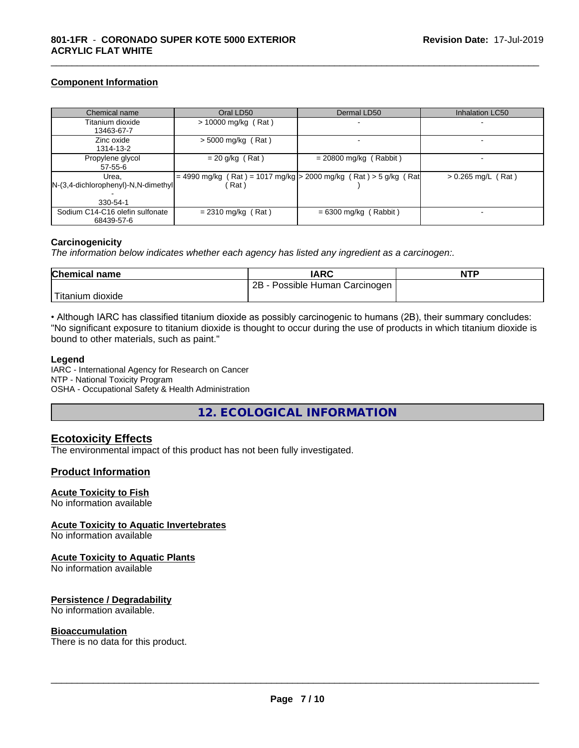#### **Component Information**

| Chemical name                            | Oral LD50             | Dermal LD50                                                       | <b>Inhalation LC50</b> |
|------------------------------------------|-----------------------|-------------------------------------------------------------------|------------------------|
| Titanium dioxide                         | $> 10000$ mg/kg (Rat) |                                                                   |                        |
| 13463-67-7                               |                       |                                                                   |                        |
| Zinc oxide                               | $>$ 5000 mg/kg (Rat)  |                                                                   |                        |
| 1314-13-2                                |                       |                                                                   |                        |
| Propylene glycol                         | $= 20$ g/kg (Rat)     | $= 20800$ mg/kg (Rabbit)                                          |                        |
| $57 - 55 - 6$                            |                       |                                                                   |                        |
| Urea.                                    |                       | = 4990 mg/kg (Rat) = 1017 mg/kg > 2000 mg/kg (Rat) > 5 g/kg (Rat) | $> 0.265$ mg/L (Rat)   |
| $[N-(3,4-dichloropheny) - N,N-dimethyl]$ | Rat )                 |                                                                   |                        |
|                                          |                       |                                                                   |                        |
| 330-54-1                                 |                       |                                                                   |                        |
| Sodium C14-C16 olefin sulfonate          | $= 2310$ mg/kg (Rat)  | $= 6300$ mg/kg (Rabbit)                                           |                        |
| 68439-57-6                               |                       |                                                                   |                        |

\_\_\_\_\_\_\_\_\_\_\_\_\_\_\_\_\_\_\_\_\_\_\_\_\_\_\_\_\_\_\_\_\_\_\_\_\_\_\_\_\_\_\_\_\_\_\_\_\_\_\_\_\_\_\_\_\_\_\_\_\_\_\_\_\_\_\_\_\_\_\_\_\_\_\_\_\_\_\_\_\_\_\_\_\_\_\_\_\_\_\_\_\_

#### **Carcinogenicity**

*The information below indicateswhether each agency has listed any ingredient as a carcinogen:.*

| <b>Chemical name</b> | <b>IARC</b>                     | <b>NTP</b> |
|----------------------|---------------------------------|------------|
|                      | 2B<br>Possible Human Carcinogen |            |
| 'Titanium<br>dioxide |                                 |            |

• Although IARC has classified titanium dioxide as possibly carcinogenic to humans (2B), their summary concludes: "No significant exposure to titanium dioxide is thought to occur during the use of products in which titanium dioxide is bound to other materials, such as paint."

#### **Legend**

IARC - International Agency for Research on Cancer NTP - National Toxicity Program OSHA - Occupational Safety & Health Administration

**12. ECOLOGICAL INFORMATION**

#### **Ecotoxicity Effects**

The environmental impact of this product has not been fully investigated.

#### **Product Information**

#### **Acute Toxicity to Fish**

No information available

#### **Acute Toxicity to Aquatic Invertebrates**

No information available

#### **Acute Toxicity to Aquatic Plants**

No information available

#### **Persistence / Degradability**

No information available.

#### **Bioaccumulation**

There is no data for this product.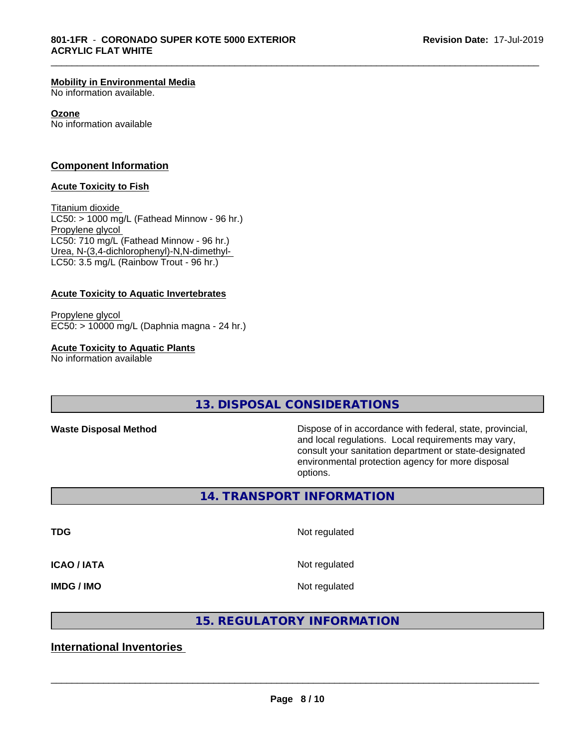#### **Mobility in Environmental Media**

No information available.

#### **Ozone**

No information available

#### **Component Information**

#### **Acute Toxicity to Fish**

Titanium dioxide  $LC50:$  > 1000 mg/L (Fathead Minnow - 96 hr.) Propylene glycol LC50: 710 mg/L (Fathead Minnow - 96 hr.) Urea, N-(3,4-dichlorophenyl)-N,N-dimethyl- LC50: 3.5 mg/L (Rainbow Trout - 96 hr.)

#### **Acute Toxicity to Aquatic Invertebrates**

Propylene glycol EC50: > 10000 mg/L (Daphnia magna - 24 hr.)

#### **Acute Toxicity to Aquatic Plants**

No information available

**13. DISPOSAL CONSIDERATIONS**

**Waste Disposal Method Dispose of in accordance with federal, state, provincial,** and local regulations. Local requirements may vary, consult your sanitation department or state-designated environmental protection agency for more disposal options.

**14. TRANSPORT INFORMATION**

**TDG** Not regulated

\_\_\_\_\_\_\_\_\_\_\_\_\_\_\_\_\_\_\_\_\_\_\_\_\_\_\_\_\_\_\_\_\_\_\_\_\_\_\_\_\_\_\_\_\_\_\_\_\_\_\_\_\_\_\_\_\_\_\_\_\_\_\_\_\_\_\_\_\_\_\_\_\_\_\_\_\_\_\_\_\_\_\_\_\_\_\_\_\_\_\_\_\_

**ICAO / IATA** Not regulated

**IMDG / IMO** Not regulated

 $\overline{\phantom{a}}$  ,  $\overline{\phantom{a}}$  ,  $\overline{\phantom{a}}$  ,  $\overline{\phantom{a}}$  ,  $\overline{\phantom{a}}$  ,  $\overline{\phantom{a}}$  ,  $\overline{\phantom{a}}$  ,  $\overline{\phantom{a}}$  ,  $\overline{\phantom{a}}$  ,  $\overline{\phantom{a}}$  ,  $\overline{\phantom{a}}$  ,  $\overline{\phantom{a}}$  ,  $\overline{\phantom{a}}$  ,  $\overline{\phantom{a}}$  ,  $\overline{\phantom{a}}$  ,  $\overline{\phantom{a}}$ 

### **15. REGULATORY INFORMATION**

### **International Inventories**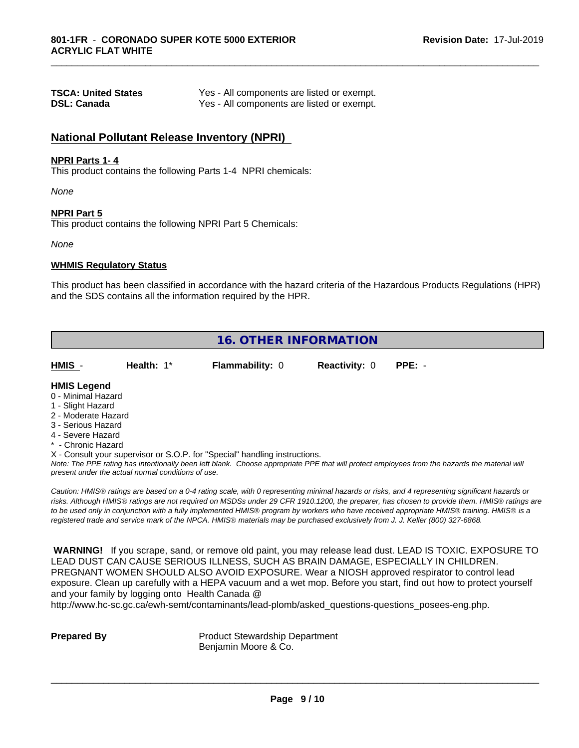| <b>TSCA: United States</b> | Yes - All components are listed or exempt. |
|----------------------------|--------------------------------------------|
| <b>DSL: Canada</b>         | Yes - All components are listed or exempt. |

#### **National Pollutant Release Inventory (NPRI)**

#### **NPRI Parts 1- 4**

This product contains the following Parts 1-4 NPRI chemicals:

*None*

#### **NPRI Part 5**

This product contains the following NPRI Part 5 Chemicals:

*None*

#### **WHMIS Regulatory Status**

This product has been classified in accordance with the hazard criteria of the Hazardous Products Regulations (HPR) and the SDS contains all the information required by the HPR.

\_\_\_\_\_\_\_\_\_\_\_\_\_\_\_\_\_\_\_\_\_\_\_\_\_\_\_\_\_\_\_\_\_\_\_\_\_\_\_\_\_\_\_\_\_\_\_\_\_\_\_\_\_\_\_\_\_\_\_\_\_\_\_\_\_\_\_\_\_\_\_\_\_\_\_\_\_\_\_\_\_\_\_\_\_\_\_\_\_\_\_\_\_

| <b>16. OTHER INFORMATION</b>                                                                                                                                                                                |            |                                                                            |                      |                                                                                                                                               |
|-------------------------------------------------------------------------------------------------------------------------------------------------------------------------------------------------------------|------------|----------------------------------------------------------------------------|----------------------|-----------------------------------------------------------------------------------------------------------------------------------------------|
| HMIS -                                                                                                                                                                                                      | Health: 1* | <b>Flammability: 0</b>                                                     | <b>Reactivity: 0</b> | $PPE: -$                                                                                                                                      |
| <b>HMIS Legend</b><br>0 - Minimal Hazard<br>1 - Slight Hazard<br>2 - Moderate Hazard<br>3 - Serious Hazard<br>4 - Severe Hazard<br>* - Chronic Hazard<br>present under the actual normal conditions of use. |            | X - Consult your supervisor or S.O.P. for "Special" handling instructions. |                      | Note: The PPE rating has intentionally been left blank. Choose appropriate PPE that will protect employees from the hazards the material will |

*Caution: HMISÒ ratings are based on a 0-4 rating scale, with 0 representing minimal hazards or risks, and 4 representing significant hazards or risks. Although HMISÒ ratings are not required on MSDSs under 29 CFR 1910.1200, the preparer, has chosen to provide them. HMISÒ ratings are to be used only in conjunction with a fully implemented HMISÒ program by workers who have received appropriate HMISÒ training. HMISÒ is a registered trade and service mark of the NPCA. HMISÒ materials may be purchased exclusively from J. J. Keller (800) 327-6868.*

 **WARNING!** If you scrape, sand, or remove old paint, you may release lead dust. LEAD IS TOXIC. EXPOSURE TO LEAD DUST CAN CAUSE SERIOUS ILLNESS, SUCH AS BRAIN DAMAGE, ESPECIALLY IN CHILDREN. PREGNANT WOMEN SHOULD ALSO AVOID EXPOSURE.Wear a NIOSH approved respirator to control lead exposure. Clean up carefully with a HEPA vacuum and a wet mop. Before you start, find out how to protect yourself and your family by logging onto Health Canada @

http://www.hc-sc.gc.ca/ewh-semt/contaminants/lead-plomb/asked\_questions-questions\_posees-eng.php.

**Prepared By** Product Stewardship Department Benjamin Moore & Co.